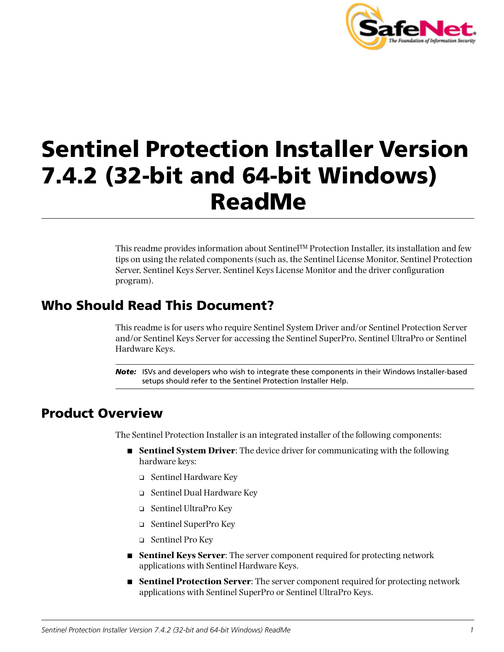

# **Sentinel Protection Installer Version 7.4.2 (32-bit and 64-bit Windows) ReadMe**

This readme provides information about Sentinel™ Protection Installer, its installation and few tips on using the related components (such as, the Sentinel License Monitor, Sentinel Protection Server, Sentinel Keys Server, Sentinel Keys License Monitor and the driver configuration program).

# **Who Should Read This Document?**

This readme is for users who require Sentinel System Driver and/or Sentinel Protection Server and/or Sentinel Keys Server for accessing the Sentinel SuperPro, Sentinel UltraPro or Sentinel Hardware Keys.

*Note:* ISVs and developers who wish to integrate these components in their Windows Installer-based setups should refer to the Sentinel Protection Installer Help.

# **Product Overview**

The Sentinel Protection Installer is an integrated installer of the following components:

- **Sentinel System Driver**: The device driver for communicating with the following hardware keys:
	- ❑ Sentinel Hardware Key
	- ❑ Sentinel Dual Hardware Key
	- ❑ Sentinel UltraPro Key
	- ❑ Sentinel SuperPro Key
	- ❑ Sentinel Pro Key
- **Sentinel Keys Server**: The server component required for protecting network applications with Sentinel Hardware Keys.
- **Sentinel Protection Server**: The server component required for protecting network applications with Sentinel SuperPro or Sentinel UltraPro Keys.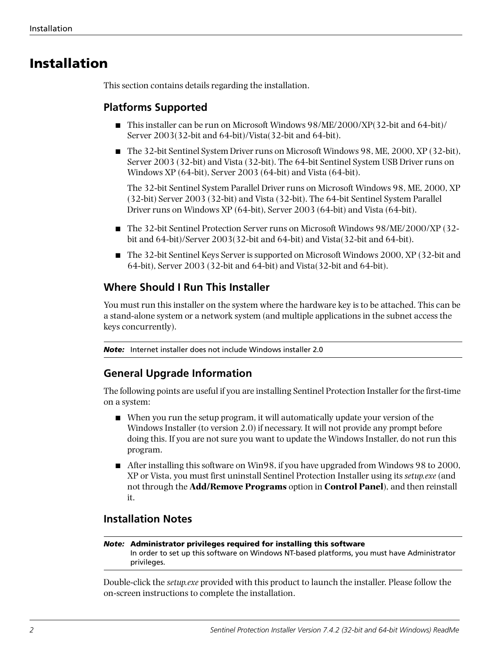# **Installation**

This section contains details regarding the installation.

# **Platforms Supported**

- This installer can be run on Microsoft Windows 98/ME/2000/XP(32-bit and 64-bit)/ Server 2003(32-bit and 64-bit)/Vista(32-bit and 64-bit).
- The 32-bit Sentinel System Driver runs on Microsoft Windows 98, ME, 2000, XP (32-bit), Server 2003 (32-bit) and Vista (32-bit). The 64-bit Sentinel System USB Driver runs on Windows XP (64-bit), Server 2003 (64-bit) and Vista (64-bit).

The 32-bit Sentinel System Parallel Driver runs on Microsoft Windows 98, ME, 2000, XP (32-bit) Server 2003 (32-bit) and Vista (32-bit). The 64-bit Sentinel System Parallel Driver runs on Windows XP (64-bit), Server 2003 (64-bit) and Vista (64-bit).

- The 32-bit Sentinel Protection Server runs on Microsoft Windows 98/ME/2000/XP (32bit and 64-bit)/Server 2003(32-bit and 64-bit) and Vista(32-bit and 64-bit).
- The 32-bit Sentinel Keys Server is supported on Microsoft Windows 2000, XP (32-bit and 64-bit), Server 2003 (32-bit and 64-bit) and Vista(32-bit and 64-bit).

# **Where Should I Run This Installer**

You must run this installer on the system where the hardware key is to be attached. This can be a stand-alone system or a network system (and multiple applications in the subnet access the keys concurrently).

*Note:* Internet installer does not include Windows installer 2.0

# **General Upgrade Information**

The following points are useful if you are installing Sentinel Protection Installer for the first-time on a system:

- When you run the setup program, it will automatically update your version of the Windows Installer (to version 2.0) if necessary. It will not provide any prompt before doing this. If you are not sure you want to update the Windows Installer, do not run this program.
- After installing this software on Win98, if you have upgraded from Windows 98 to 2000, XP or Vista, you must first uninstall Sentinel Protection Installer using its *setup.exe* (and not through the **Add/Remove Programs** option in **Control Panel**), and then reinstall it.

# **Installation Notes**

#### *Note:* **Administrator privileges required for installing this software** In order to set up this software on Windows NT-based platforms, you must have Administrator privileges.

Double-click the *setup.exe* provided with this product to launch the installer. Please follow the on-screen instructions to complete the installation.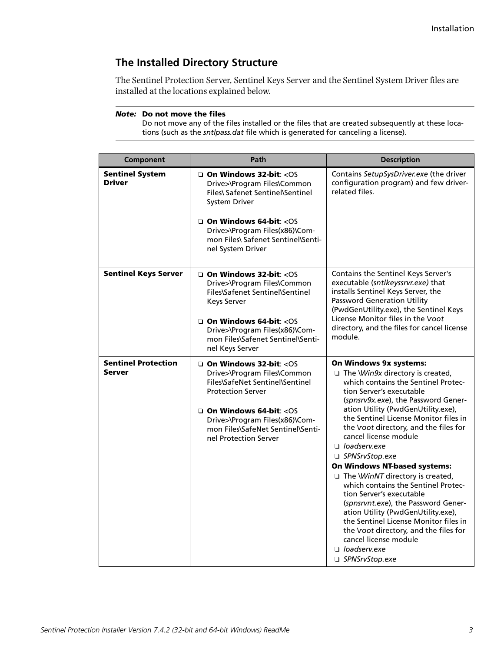# **The Installed Directory Structure**

The Sentinel Protection Server, Sentinel Keys Server and the Sentinel System Driver files are installed at the locations explained below.

#### *Note:* **Do not move the files**

Do not move any of the files installed or the files that are created subsequently at these locations (such as the *sntlpass.dat* file which is generated for canceling a license).

| Component                                   | Path                                                                                                                                                                                                                                                               | <b>Description</b>                                                                                                                                                                                                                                                                                                                                                                                                                                                                                                                                                                                                                                                                                                                                                          |
|---------------------------------------------|--------------------------------------------------------------------------------------------------------------------------------------------------------------------------------------------------------------------------------------------------------------------|-----------------------------------------------------------------------------------------------------------------------------------------------------------------------------------------------------------------------------------------------------------------------------------------------------------------------------------------------------------------------------------------------------------------------------------------------------------------------------------------------------------------------------------------------------------------------------------------------------------------------------------------------------------------------------------------------------------------------------------------------------------------------------|
| <b>Sentinel System</b><br><b>Driver</b>     | $\Box$ On Windows 32-bit: < $OS$<br>Drive>\Program Files\Common<br>Files\ Safenet Sentinel\Sentinel<br><b>System Driver</b><br>$\Box$ On Windows 64-bit: < $OS$<br>Drive>\Program Files(x86)\Com-<br>mon Files\ Safenet Sentinel\Senti-<br>nel System Driver       | Contains SetupSysDriver.exe (the driver<br>configuration program) and few driver-<br>related files.                                                                                                                                                                                                                                                                                                                                                                                                                                                                                                                                                                                                                                                                         |
| <b>Sentinel Keys Server</b>                 | On Windows 32-bit: < OS<br>Drive>\Program Files\Common<br>Files\Safenet Sentinel\Sentinel<br><b>Keys Server</b><br>$\Box$ On Windows 64-bit: < $OS$<br>Drive>\Program Files(x86)\Com-<br>mon Files\Safenet Sentinel\Senti-<br>nel Keys Server                      | Contains the Sentinel Keys Server's<br>executable (sntlkeyssrvr.exe) that<br>installs Sentinel Keys Server, the<br><b>Password Generation Utility</b><br>(PwdGenUtility.exe), the Sentinel Keys<br>License Monitor files in the Voot<br>directory, and the files for cancel license<br>module.                                                                                                                                                                                                                                                                                                                                                                                                                                                                              |
| <b>Sentinel Protection</b><br><b>Server</b> | $\Box$ On Windows 32-bit: < $OS$<br>Drive>\Program Files\Common<br>Files\SafeNet Sentinel\Sentinel<br><b>Protection Server</b><br>$\Box$ On Windows 64-bit: < $OS$<br>Drive>\Program Files(x86)\Com-<br>mon Files\SafeNet Sentinel\Senti-<br>nel Protection Server | On Windows 9x systems:<br>$\Box$ The <i>Win9x</i> directory is created,<br>which contains the Sentinel Protec-<br>tion Server's executable<br>(spnsrv9x.exe), the Password Gener-<br>ation Utility (PwdGenUtility.exe),<br>the Sentinel License Monitor files in<br>the voot directory, and the files for<br>cancel license module<br>$\Box$ loadserv.exe<br>□ SPNSrvStop.exe<br><b>On Windows NT-based systems:</b><br>$\Box$ The <i>WinNT</i> directory is created,<br>which contains the Sentinel Protec-<br>tion Server's executable<br>(spnsrvnt.exe), the Password Gener-<br>ation Utility (PwdGenUtility.exe),<br>the Sentinel License Monitor files in<br>the Voot directory, and the files for<br>cancel license module<br>$\Box$ loadserv.exe<br>□ SPNSrvStop.exe |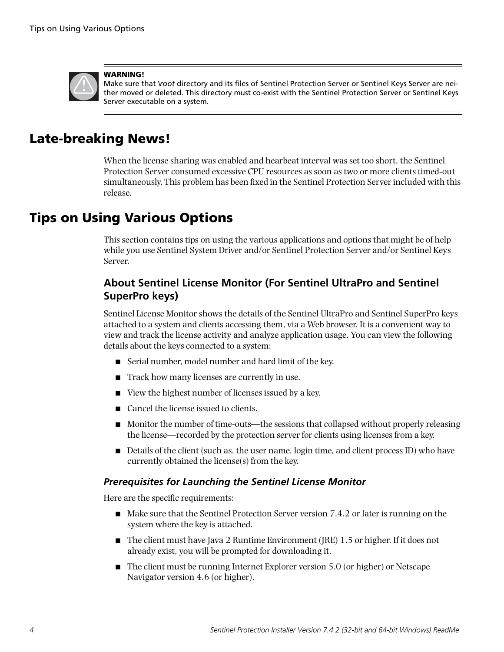

#### **WARNING!**

Make sure that *\root* directory and its files of Sentinel Protection Server or Sentinel Keys Server are neither moved or deleted. This directory must co-exist with the Sentinel Protection Server or Sentinel Keys Server executable on a system.

# **Late-breaking News!**

When the license sharing was enabled and hearbeat interval was set too short, the Sentinel Protection Server consumed excessive CPU resources as soon as two or more clients timed-out simultaneously. This problem has been fixed in the Sentinel Protection Server included with this release.

# **Tips on Using Various Options**

This section contains tips on using the various applications and options that might be of help while you use Sentinel System Driver and/or Sentinel Protection Server and/or Sentinel Keys Server.

# **About Sentinel License Monitor (For Sentinel UltraPro and Sentinel SuperPro keys)**

Sentinel License Monitor shows the details of the Sentinel UltraPro and Sentinel SuperPro keys attached to a system and clients accessing them, via a Web browser. It is a convenient way to view and track the license activity and analyze application usage. You can view the following details about the keys connected to a system:

- Serial number, model number and hard limit of the key.
- Track how many licenses are currently in use.
- View the highest number of licenses issued by a key.
- Cancel the license issued to clients.
- Monitor the number of time-outs—the sessions that collapsed without properly releasing the license—recorded by the protection server for clients using licenses from a key.
- Details of the client (such as, the user name, login time, and client process ID) who have currently obtained the license(s) from the key.

## *Prerequisites for Launching the Sentinel License Monitor*

Here are the specific requirements:

- Make sure that the Sentinel Protection Server version 7.4.2 or later is running on the system where the key is attached.
- The client must have Java 2 Runtime Environment (JRE) 1.5 or higher. If it does not already exist, you will be prompted for downloading it.
- The client must be running Internet Explorer version 5.0 (or higher) or Netscape Navigator version 4.6 (or higher).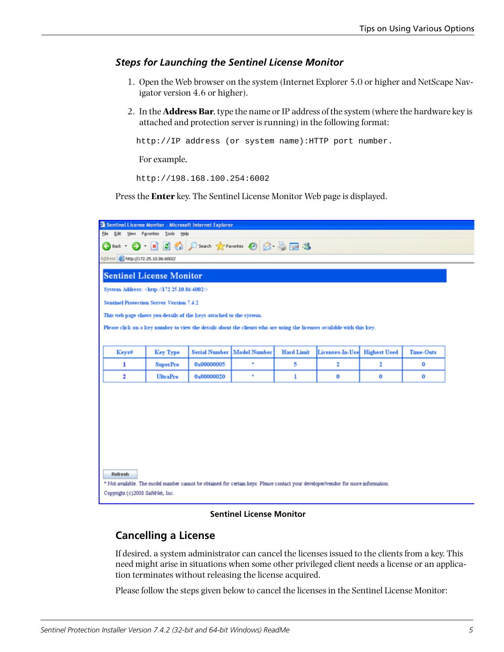### <span id="page-4-0"></span>*Steps for Launching the Sentinel License Monitor*

- 1. Open the Web browser on the system (Internet Explorer 5.0 or higher and NetScape Navigator version 4.6 or higher).
- 2. In the **Address Bar**, type the name or IP address of the system (where the hardware key is attached and protection server is running) in the following format:

http://IP address (or system name):HTTP port number.

For example,

http://198.168.100.254:6002

Press the **Enter** key. The Sentinel License Monitor Web page is displayed.



#### **Sentinel License Monitor**

### **Cancelling a License**

If desired, a system administrator can cancel the licenses issued to the clients from a key. This need might arise in situations when some other privileged client needs a license or an application terminates without releasing the license acquired.

Please follow the steps given below to cancel the licenses in the Sentinel License Monitor: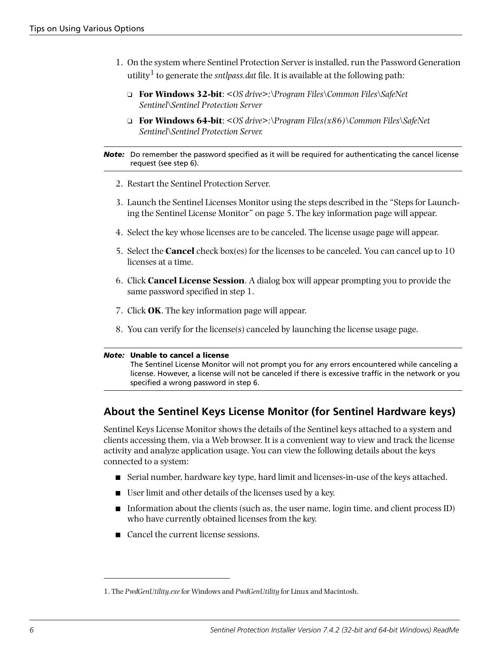- 1. On the system where Sentinel Protection Server is installed, run the Password Generation utility<sup>1</sup> to generate the *sntlpass.dat* file. It is available at the following path:
	- ❑ **For Windows 32-bit**: *<OS drive>:\Program Files\Common Files\SafeNet Sentinel\Sentinel Protection Server*
	- ❑ **For Windows 64-bit**: *<OS drive>:\Program Files(x86)\Common Files\SafeNet Sentinel\Sentinel Protection Server.*

#### *Note:* Do remember the password specified as it will be required for authenticating the cancel license request (see step 6).

- 2. Restart the Sentinel Protection Server.
- 3. Launch the Sentinel Licenses Monitor using the steps described in the ["Steps for Launch](#page-4-0)[ing the Sentinel License Monitor" on page 5](#page-4-0). The key information page will appear.
- 4. Select the key whose licenses are to be canceled. The license usage page will appear.
- 5. Select the **Cancel** check box(es) for the licenses to be canceled. You can cancel up to 10 licenses at a time.
- 6. Click **Cancel License Session**. A dialog box will appear prompting you to provide the same password specified in step 1.
- 7. Click **OK**. The key information page will appear.
- 8. You can verify for the license(s) canceled by launching the license usage page.

#### *Note:* **Unable to cancel a license**

The Sentinel License Monitor will not prompt you for any errors encountered while canceling a license. However, a license will not be canceled if there is excessive traffic in the network or you specified a wrong password in step 6.

# **About the Sentinel Keys License Monitor (for Sentinel Hardware keys)**

Sentinel Keys License Monitor shows the details of the Sentinel keys attached to a system and clients accessing them, via a Web browser. It is a convenient way to view and track the license activity and analyze application usage. You can view the following details about the keys connected to a system:

- Serial number, hardware key type, hard limit and licenses-in-use of the keys attached.
- User limit and other details of the licenses used by a key.
- Information about the clients (such as, the user name, login time, and client process ID) who have currently obtained licenses from the key.
- Cancel the current license sessions.

<sup>1.</sup> The *PwdGenUtility.exe* for Windows and *PwdGenUtility* for Linux and Macintosh.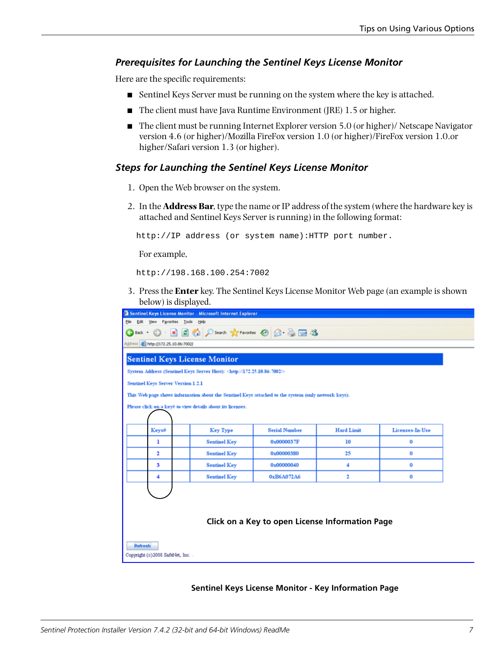### *Prerequisites for Launching the Sentinel Keys License Monitor*

Here are the specific requirements:

- Sentinel Keys Server must be running on the system where the key is attached.
- The client must have Java Runtime Environment (JRE) 1.5 or higher.
- The client must be running Internet Explorer version 5.0 (or higher)/ Netscape Navigator version 4.6 (or higher)/Mozilla FireFox version 1.0 (or higher)/FireFox version 1.0.or higher/Safari version 1.3 (or higher).

#### *Steps for Launching the Sentinel Keys License Monitor*

- 1. Open the Web browser on the system.
- 2. In the **Address Bar**, type the name or IP address of the system (where the hardware key is attached and Sentinel Keys Server is running) in the following format:

http://IP address (or system name):HTTP port number.

For example,

http://198.168.100.254:7002

3. Press the **Enter** key. The Sentinel Keys License Monitor Web page (an example is shown below) is displayed.

| Sentinel Keys License Monitor - Microsoft Internet Explorer |                                                                                                     |                                                 |                   |                 |  |
|-------------------------------------------------------------|-----------------------------------------------------------------------------------------------------|-------------------------------------------------|-------------------|-----------------|--|
| Favorites Tools Help<br><b>Ble</b><br>Edit<br>View          |                                                                                                     |                                                 |                   |                 |  |
|                                                             | ◎Back · ◎ · 図 ◎ p Search 女Favorius ④ ② ③ 回答                                                         |                                                 |                   |                 |  |
| Address <sup>2</sup> http://172.25.10.86:7002/              |                                                                                                     |                                                 |                   |                 |  |
| <b>Sentinel Keys License Monitor</b>                        |                                                                                                     |                                                 |                   |                 |  |
|                                                             | System Address (Sentinel Keys Server Host): <http: 172.25.10.86:7002=""></http:>                    |                                                 |                   |                 |  |
| Sentinel Keys Server Version 1.2.1                          |                                                                                                     |                                                 |                   |                 |  |
|                                                             | This Web page shows information about the Sentinel Keys attached to the system (only network keys). |                                                 |                   |                 |  |
|                                                             |                                                                                                     |                                                 |                   |                 |  |
| Please click on a key# to view details about its licenses.  |                                                                                                     |                                                 |                   |                 |  |
|                                                             |                                                                                                     |                                                 |                   |                 |  |
| Keys#                                                       | Key Type                                                                                            | <b>Serial Number</b>                            | <b>Hard Limit</b> | Licenses-In-Use |  |
| ı                                                           | <b>Sentinel Key</b>                                                                                 | 0x0000037F                                      | 10                | 0               |  |
| 2                                                           | <b>Sentinel Key</b>                                                                                 | 0x00000380                                      | 25                | 0               |  |
| 3                                                           | <b>Sentinel Key</b>                                                                                 | 0x00000040                                      | 4                 | 0               |  |
| 4                                                           | <b>Sentinel Key</b>                                                                                 | 0xB6A072A6                                      | 2                 | 0               |  |
|                                                             |                                                                                                     |                                                 |                   |                 |  |
|                                                             |                                                                                                     |                                                 |                   |                 |  |
|                                                             |                                                                                                     |                                                 |                   |                 |  |
|                                                             |                                                                                                     | Click on a Key to open License Information Page |                   |                 |  |
|                                                             |                                                                                                     |                                                 |                   |                 |  |
|                                                             |                                                                                                     |                                                 |                   |                 |  |
| <b>Refresh</b>                                              |                                                                                                     |                                                 |                   |                 |  |
| Copyright (c)2008 SafeNet, Inc. -                           |                                                                                                     |                                                 |                   |                 |  |
|                                                             |                                                                                                     |                                                 |                   |                 |  |

#### **Sentinel Keys License Monitor - Key Information Page**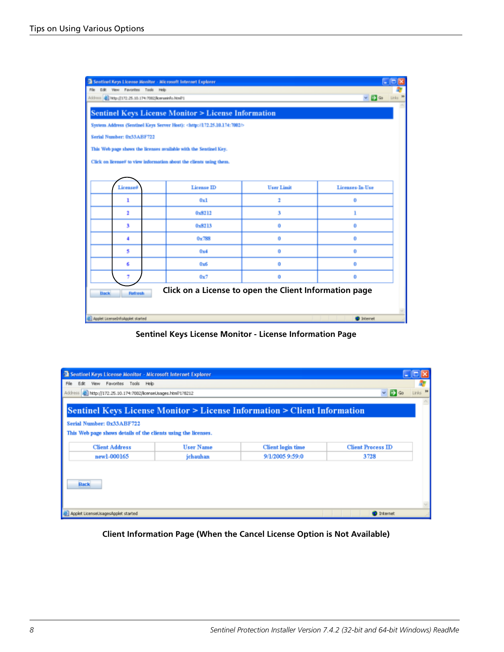| Sentinel Keys License Monitor - Microsoft Internet Explorer                             |                   |                   |                                    |
|-----------------------------------------------------------------------------------------|-------------------|-------------------|------------------------------------|
| File Edit View Favorites Tools Help                                                     |                   |                   |                                    |
| Address ( ) http://172.25.10.174:7002/lomseirfo.html?1                                  |                   |                   | Links 30<br>$\vee$ $\Box$ $\infty$ |
| <b>Sentinel Keys License Monitor &gt; License Information</b>                           |                   |                   |                                    |
| System Address (Sentinel Keys Server Host): <http: 172.25.10.174:7002=""></http:>       |                   |                   |                                    |
| Serial Number: 0x33ABF722                                                               |                   |                   |                                    |
| This Web page shows the licenses available with the Sentinel Key.                       |                   |                   |                                    |
| Click on license# to view information about the clients using them.                     |                   |                   |                                    |
|                                                                                         |                   |                   |                                    |
| License#                                                                                | <b>License ID</b> | <b>User Limit</b> | Licenses-In-Use                    |
| ı                                                                                       | 0x1               | 2                 | 0                                  |
| 2                                                                                       | 0x8212            | 3                 | ı                                  |
| 3                                                                                       | 0x8213            | o                 | 0                                  |
| 4                                                                                       | 0x788             | 0                 | 0                                  |
| s                                                                                       | 0x4               | 0                 | ٥                                  |
| 6                                                                                       | 0x6               | 0                 | 0                                  |
| 7                                                                                       | 0x7               | 0                 | 0                                  |
| Click on a License to open the Client Information page<br><b>Back</b><br><b>Refresh</b> |                   |                   |                                    |
|                                                                                         |                   |                   |                                    |
| C Applet LicensebritoApplet started                                                     |                   |                   | <sup>t</sup> Internet              |

**Sentinel Keys License Monitor - License Information Page**

| Sentinel Keys License Monitor - Microsoft Internet Explorer                                                                                                                          |                  |                          |                          |                     |
|--------------------------------------------------------------------------------------------------------------------------------------------------------------------------------------|------------------|--------------------------|--------------------------|---------------------|
| View Favorites Tools Help<br>Edit.                                                                                                                                                   |                  |                          |                          |                     |
| http://172.25.10.174:7002/icenseUsages.html?1?8212                                                                                                                                   |                  |                          | $\vee$ $\Rightarrow$ Go  | Links <sup>39</sup> |
| <b>Sentinel Keys License Monitor &gt; License Information &gt; Client Information</b><br>Serial Number: 0x33ABF722<br>This Web page shows details of the clients using the licenses. |                  |                          |                          |                     |
| <b>Client Address</b>                                                                                                                                                                | <b>User Name</b> | <b>Client</b> login time | <b>Client Process ID</b> |                     |
| new1-000165                                                                                                                                                                          | jchauhan         | 9/1/2005 9:59:0          | 3728                     |                     |
| <b>Back</b>                                                                                                                                                                          |                  |                          |                          |                     |
| Applet LicenselJsagesApplet started                                                                                                                                                  |                  |                          | <b>D</b> Internet        |                     |

**Client Information Page (When the Cancel License Option is Not Available)**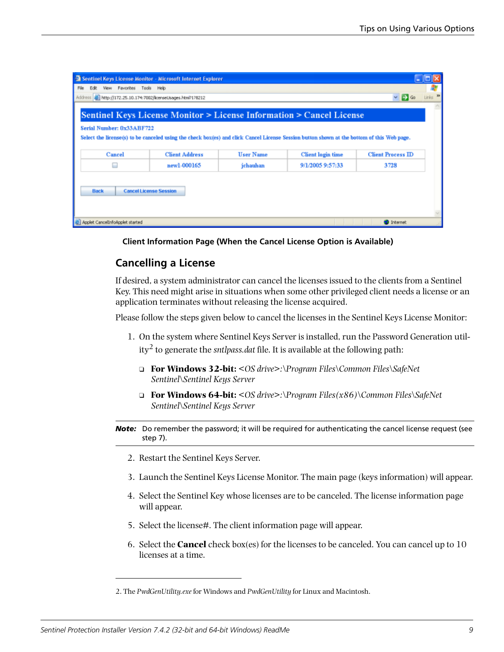| Sentinel Keys License Monitor - Microsoft Internet Explorer |                                                    |                  |                                                                                                                                            |                                     |
|-------------------------------------------------------------|----------------------------------------------------|------------------|--------------------------------------------------------------------------------------------------------------------------------------------|-------------------------------------|
| View Favorites Tools Help<br>Edit                           |                                                    |                  |                                                                                                                                            |                                     |
|                                                             | http://172.25.10.174:7002/icenseUsages.html?1?8212 |                  |                                                                                                                                            | Links 39<br>$\vee$ $\Rightarrow$ Go |
|                                                             |                                                    |                  |                                                                                                                                            |                                     |
|                                                             |                                                    |                  | Sentinel Keys License Monitor > License Information > Cancel License                                                                       |                                     |
| Serial Number: 0x33ABF722                                   |                                                    |                  |                                                                                                                                            |                                     |
|                                                             |                                                    |                  | Select the license(s) to be canceled using the check box(es) and click Cancel License Session button shown at the bottom of this Web page. |                                     |
|                                                             |                                                    |                  |                                                                                                                                            |                                     |
| Cancel                                                      | <b>Client Address</b>                              | <b>User Name</b> | <b>Client</b> login time                                                                                                                   | <b>Client Process ID</b>            |
| ш                                                           | new1-000165                                        | jchauhan         | 9/1/2005 9:57:33                                                                                                                           | 3728                                |
|                                                             |                                                    |                  |                                                                                                                                            |                                     |
| <b>Back</b>                                                 | <b>Cancel License Session</b>                      |                  |                                                                                                                                            |                                     |
|                                                             |                                                    |                  |                                                                                                                                            |                                     |
|                                                             |                                                    |                  |                                                                                                                                            |                                     |
|                                                             |                                                    |                  |                                                                                                                                            |                                     |
| Applet CancelInfoApplet started                             |                                                    |                  |                                                                                                                                            | <b>D</b> Internet                   |

**Client Information Page (When the Cancel License Option is Available)**

# **Cancelling a License**

If desired, a system administrator can cancel the licenses issued to the clients from a Sentinel Key. This need might arise in situations when some other privileged client needs a license or an application terminates without releasing the license acquired.

Please follow the steps given below to cancel the licenses in the Sentinel Keys License Monitor:

- 1. On the system where Sentinel Keys Server is installed, run the Password Generation utility2 to generate the *sntlpass.dat* file. It is available at the following path:
	- ❑ **For Windows 32-bit:** *<OS drive>:\Program Files\Common Files\SafeNet Sentinel\Sentinel Keys Server*
	- ❑ **For Windows 64-bit:** *<OS drive>:\Program Files(x86)\Common Files\SafeNet Sentinel\Sentinel Keys Server*
- *Note:* Do remember the password; it will be required for authenticating the cancel license request (see step 7).
	- 2. Restart the Sentinel Keys Server.
	- 3. Launch the Sentinel Keys License Monitor. The main page (keys information) will appear.
	- 4. Select the Sentinel Key whose licenses are to be canceled. The license information page will appear.
	- 5. Select the license#. The client information page will appear.
	- 6. Select the **Cancel** check box(es) for the licenses to be canceled. You can cancel up to 10 licenses at a time.

<sup>2.</sup> The *PwdGenUtility.exe* for Windows and *PwdGenUtility* for Linux and Macintosh.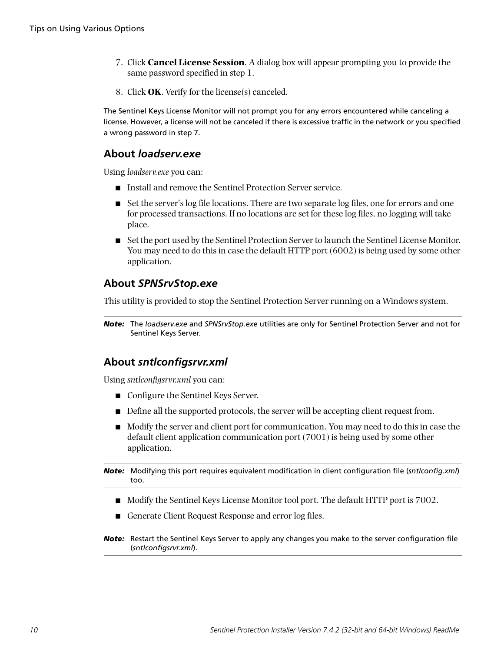- 7. Click **Cancel License Session**. A dialog box will appear prompting you to provide the same password specified in step 1.
- 8. Click **OK**. Verify for the license(s) canceled.

The Sentinel Keys License Monitor will not prompt you for any errors encountered while canceling a license. However, a license will not be canceled if there is excessive traffic in the network or you specified a wrong password in step 7.

# **About** *loadserv.exe*

Using *loadserv.exe* you can:

- Install and remove the Sentinel Protection Server service.
- Set the server's log file locations. There are two separate log files, one for errors and one for processed transactions. If no locations are set for these log files, no logging will take place.
- Set the port used by the Sentinel Protection Server to launch the Sentinel License Monitor. You may need to do this in case the default HTTP port (6002) is being used by some other application.

# **About** *SPNSrvStop.exe*

This utility is provided to stop the Sentinel Protection Server running on a Windows system.

*Note:* The *loadserv.exe* and *SPNSrvStop.exe* utilities are only for Sentinel Protection Server and not for Sentinel Keys Server.

# **About** *sntlconfigsrvr.xml*

Using *sntlconfigsrvr.xml* you can:

- Configure the Sentinel Keys Server.
- Define all the supported protocols, the server will be accepting client request from.
- Modify the server and client port for communication. You may need to do this in case the default client application communication port (7001) is being used by some other application.

*Note:* Modifying this port requires equivalent modification in client configuration file (*sntlconfig.xml*) too.

- Modify the Sentinel Keys License Monitor tool port. The default HTTP port is 7002.
- Generate Client Request Response and error log files.

*Note:* Restart the Sentinel Keys Server to apply any changes you make to the server configuration file (*sntlconfigsrvr.xml*).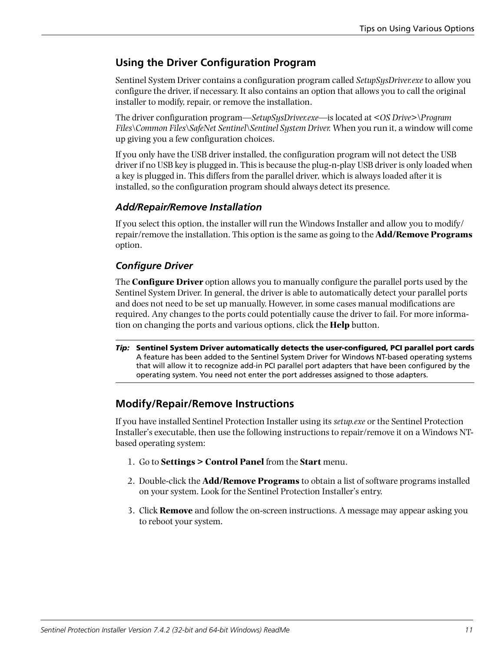# **Using the Driver Configuration Program**

Sentinel System Driver contains a configuration program called *SetupSysDriver.exe* to allow you configure the driver, if necessary. It also contains an option that allows you to call the original installer to modify, repair, or remove the installation.

The driver configuration program—*SetupSysDriver.exe*—is located at *<OS Drive>\Program Files\Common Files\SafeNet Sentinel\Sentinel System Driver.* When you run it, a window will come up giving you a few configuration choices.

If you only have the USB driver installed, the configuration program will not detect the USB driver if no USB key is plugged in. This is because the plug-n-play USB driver is only loaded when a key is plugged in. This differs from the parallel driver, which is always loaded after it is installed, so the configuration program should always detect its presence.

### *Add/Repair/Remove Installation*

If you select this option, the installer will run the Windows Installer and allow you to modify/ repair/remove the installation. This option is the same as going to the **Add/Remove Programs**  option.

## *Configure Driver*

The **Configure Driver** option allows you to manually configure the parallel ports used by the Sentinel System Driver. In general, the driver is able to automatically detect your parallel ports and does not need to be set up manually. However, in some cases manual modifications are required. Any changes to the ports could potentially cause the driver to fail. For more information on changing the ports and various options, click the **Help** button.

*Tip:* **Sentinel System Driver automatically detects the user-configured, PCI parallel port cards** A feature has been added to the Sentinel System Driver for Windows NT-based operating systems that will allow it to recognize add-in PCI parallel port adapters that have been configured by the operating system. You need not enter the port addresses assigned to those adapters.

# **Modify/Repair/Remove Instructions**

If you have installed Sentinel Protection Installer using its *setup.exe* or the Sentinel Protection Installer's executable, then use the following instructions to repair/remove it on a Windows NTbased operating system:

- 1. Go to **Settings > Control Panel** from the **Start** menu.
- 2. Double-click the **Add/Remove Programs** to obtain a list of software programs installed on your system. Look for the Sentinel Protection Installer's entry.
- 3. Click **Remove** and follow the on-screen instructions. A message may appear asking you to reboot your system.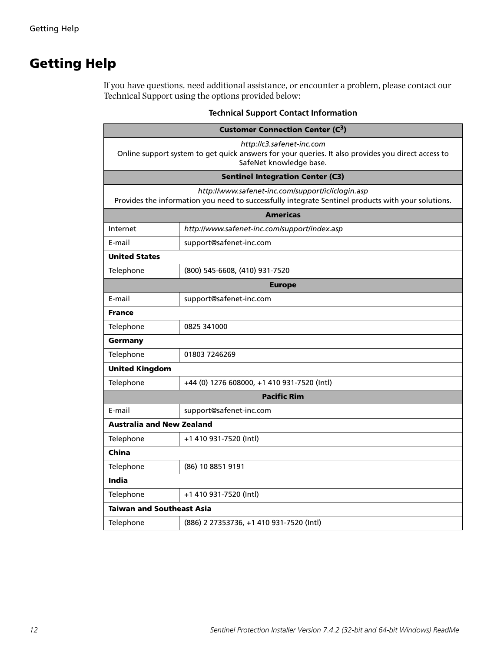# **Getting Help**

If you have questions, need additional assistance, or encounter a problem, please contact our Technical Support using the options provided below:

| <b>Customer Connection Center (C3)</b>                                                                                                                     |                                                                                                                                                         |  |  |  |
|------------------------------------------------------------------------------------------------------------------------------------------------------------|---------------------------------------------------------------------------------------------------------------------------------------------------------|--|--|--|
| http://c3.safenet-inc.com<br>Online support system to get quick answers for your queries. It also provides you direct access to<br>SafeNet knowledge base. |                                                                                                                                                         |  |  |  |
|                                                                                                                                                            | <b>Sentinel Integration Center (C3)</b>                                                                                                                 |  |  |  |
|                                                                                                                                                            | http://www.safenet-inc.com/support/ic/iclogin.asp<br>Provides the information you need to successfully integrate Sentinel products with your solutions. |  |  |  |
|                                                                                                                                                            | <b>Americas</b>                                                                                                                                         |  |  |  |
| Internet                                                                                                                                                   | http://www.safenet-inc.com/support/index.asp                                                                                                            |  |  |  |
| E-mail                                                                                                                                                     | support@safenet-inc.com                                                                                                                                 |  |  |  |
| <b>United States</b>                                                                                                                                       |                                                                                                                                                         |  |  |  |
| Telephone                                                                                                                                                  | (800) 545-6608, (410) 931-7520                                                                                                                          |  |  |  |
| <b>Europe</b>                                                                                                                                              |                                                                                                                                                         |  |  |  |
| E-mail                                                                                                                                                     | support@safenet-inc.com                                                                                                                                 |  |  |  |
| <b>France</b>                                                                                                                                              |                                                                                                                                                         |  |  |  |
| Telephone                                                                                                                                                  | 0825 341000                                                                                                                                             |  |  |  |
| Germany                                                                                                                                                    |                                                                                                                                                         |  |  |  |
| Telephone                                                                                                                                                  | 01803 7246269                                                                                                                                           |  |  |  |
| <b>United Kingdom</b>                                                                                                                                      |                                                                                                                                                         |  |  |  |
| Telephone                                                                                                                                                  | +44 (0) 1276 608000, +1 410 931-7520 (Intl)                                                                                                             |  |  |  |
| <b>Pacific Rim</b>                                                                                                                                         |                                                                                                                                                         |  |  |  |
| E-mail                                                                                                                                                     | support@safenet-inc.com                                                                                                                                 |  |  |  |
| <b>Australia and New Zealand</b>                                                                                                                           |                                                                                                                                                         |  |  |  |
| Telephone                                                                                                                                                  | +1 410 931-7520 (Intl)                                                                                                                                  |  |  |  |
| China                                                                                                                                                      |                                                                                                                                                         |  |  |  |
| Telephone                                                                                                                                                  | (86) 10 8851 9191                                                                                                                                       |  |  |  |
| <b>India</b>                                                                                                                                               |                                                                                                                                                         |  |  |  |
| Telephone                                                                                                                                                  | +1 410 931-7520 (Intl)                                                                                                                                  |  |  |  |
|                                                                                                                                                            | <b>Taiwan and Southeast Asia</b>                                                                                                                        |  |  |  |
| Telephone                                                                                                                                                  | (886) 2 27353736, +1 410 931-7520 (Intl)                                                                                                                |  |  |  |

### **Technical Support Contact Information**